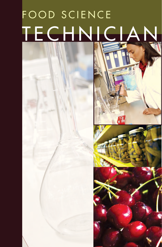# FOOD SCIENCE TECHNICIAN